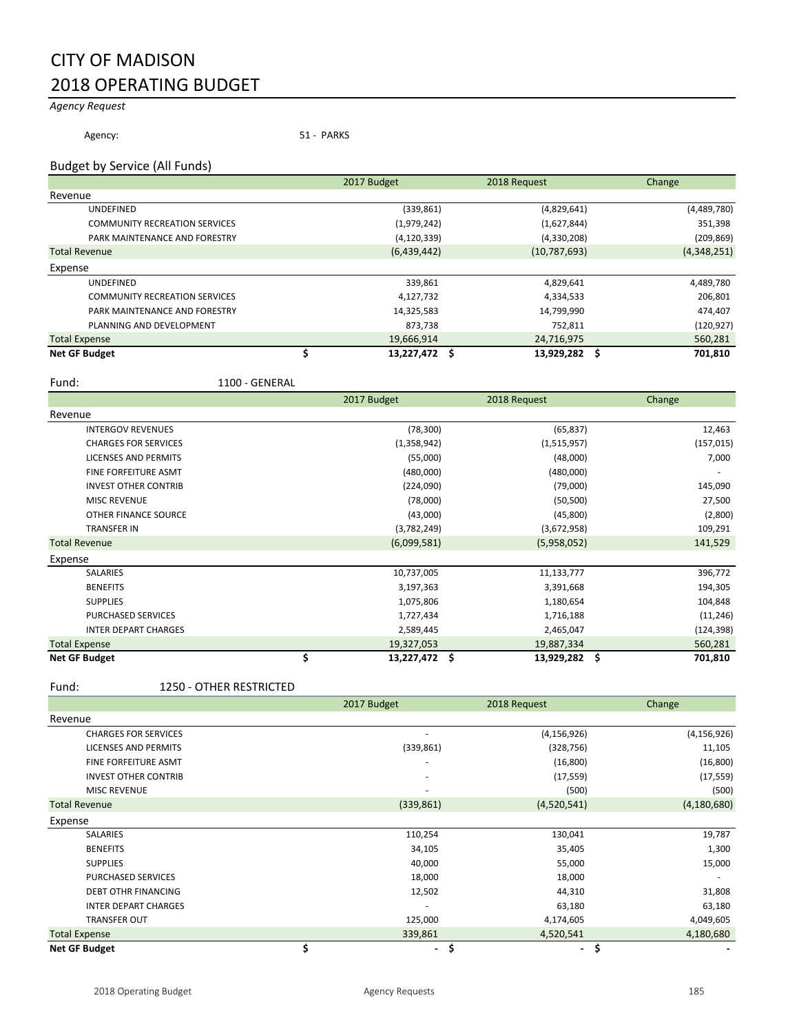## CITY OF MADISON 2018 OPERATING BUDGET

## *Agency Request*

Agency: 51 - PARKS

#### Budget by Service (All Funds)

|                                      | 2017 Budget   | 2018 Request | Change          |
|--------------------------------------|---------------|--------------|-----------------|
| Revenue                              |               |              |                 |
| <b>UNDEFINED</b>                     | (339, 861)    | (4,829,641)  | (4,489,780)     |
| <b>COMMUNITY RECREATION SERVICES</b> | (1,979,242)   | (1,627,844)  | 351,398         |
| PARK MAINTENANCE AND FORESTRY        | (4, 120, 339) | (4,330,208)  | (209, 869)      |
| <b>Total Revenue</b>                 | (6,439,442)   | (10,787,693) | (4,348,251)     |
| Expense                              |               |              |                 |
| <b>UNDEFINED</b>                     | 339,861       | 4,829,641    | 4,489,780       |
| <b>COMMUNITY RECREATION SERVICES</b> | 4,127,732     | 4,334,533    | 206,801         |
| PARK MAINTENANCE AND FORESTRY        | 14,325,583    | 14,799,990   | 474,407         |
| PLANNING AND DEVELOPMENT             | 873,738       | 752,811      | (120, 927)      |
| <b>Total Expense</b>                 | 19,666,914    | 24,716,975   | 560,281         |
| <b>Net GF Budget</b>                 | 13,227,472 \$ | 13,929,282   | 701,810<br>- \$ |

Fund: 1100 - GENERAL

|                             |    | 2017 Budget | 2018 Request     | Change         |
|-----------------------------|----|-------------|------------------|----------------|
| Revenue                     |    |             |                  |                |
| <b>INTERGOV REVENUES</b>    |    | (78, 300)   | (65, 837)        | 12,463         |
| <b>CHARGES FOR SERVICES</b> |    | (1,358,942) | (1,515,957)      | (157, 015)     |
| LICENSES AND PERMITS        |    | (55,000)    | (48,000)         | 7,000          |
| <b>FINE FORFEITURE ASMT</b> |    | (480,000)   | (480,000)        |                |
| <b>INVEST OTHER CONTRIB</b> |    | (224,090)   | (79,000)         | 145,090        |
| <b>MISC REVENUE</b>         |    | (78,000)    | (50, 500)        | 27,500         |
| OTHER FINANCE SOURCE        |    | (43,000)    | (45,800)         | (2,800)        |
| <b>TRANSFER IN</b>          |    | (3,782,249) | (3,672,958)      | 109,291        |
| <b>Total Revenue</b>        |    | (6,099,581) | (5,958,052)      | 141,529        |
| Expense                     |    |             |                  |                |
| SALARIES                    |    | 10,737,005  | 11,133,777       | 396,772        |
| <b>BENEFITS</b>             |    | 3,197,363   | 3,391,668        | 194,305        |
| <b>SUPPLIES</b>             |    | 1,075,806   | 1,180,654        | 104,848        |
| <b>PURCHASED SERVICES</b>   |    | 1,727,434   | 1,716,188        | (11, 246)      |
| <b>INTER DEPART CHARGES</b> |    | 2,589,445   | 2,465,047        | (124, 398)     |
| <b>Total Expense</b>        |    | 19,327,053  | 19,887,334       | 560,281        |
| <b>Net GF Budget</b>        | \$ | 13,227,472  | \$<br>13,929,282 | .\$<br>701,810 |

#### Fund: 1250 - OTHER RESTRICTED

|                             | 2017 Budget          | 2018 Request         | Change        |
|-----------------------------|----------------------|----------------------|---------------|
| Revenue                     |                      |                      |               |
| <b>CHARGES FOR SERVICES</b> | ٠                    | (4, 156, 926)        | (4, 156, 926) |
| <b>LICENSES AND PERMITS</b> | (339, 861)           | (328, 756)           | 11,105        |
| <b>FINE FORFEITURE ASMT</b> | -                    | (16, 800)            | (16, 800)     |
| <b>INVEST OTHER CONTRIB</b> | -                    | (17, 559)            | (17, 559)     |
| <b>MISC REVENUE</b>         | ٠                    | (500)                | (500)         |
| <b>Total Revenue</b>        | (339, 861)           | (4,520,541)          | (4, 180, 680) |
| Expense                     |                      |                      |               |
| <b>SALARIES</b>             | 110,254              | 130,041              | 19,787        |
| <b>BENEFITS</b>             | 34,105               | 35,405               | 1,300         |
| <b>SUPPLIES</b>             | 40,000               | 55,000               | 15,000        |
| PURCHASED SERVICES          | 18,000               | 18,000               |               |
| <b>DEBT OTHR FINANCING</b>  | 12,502               | 44,310               | 31,808        |
| <b>INTER DEPART CHARGES</b> |                      | 63,180               | 63,180        |
| <b>TRANSFER OUT</b>         | 125,000              | 4,174,605            | 4,049,605     |
| <b>Total Expense</b>        | 339,861              | 4,520,541            | 4,180,680     |
| <b>Net GF Budget</b>        | \$<br>$\blacksquare$ | \$<br>$\blacksquare$ | \$            |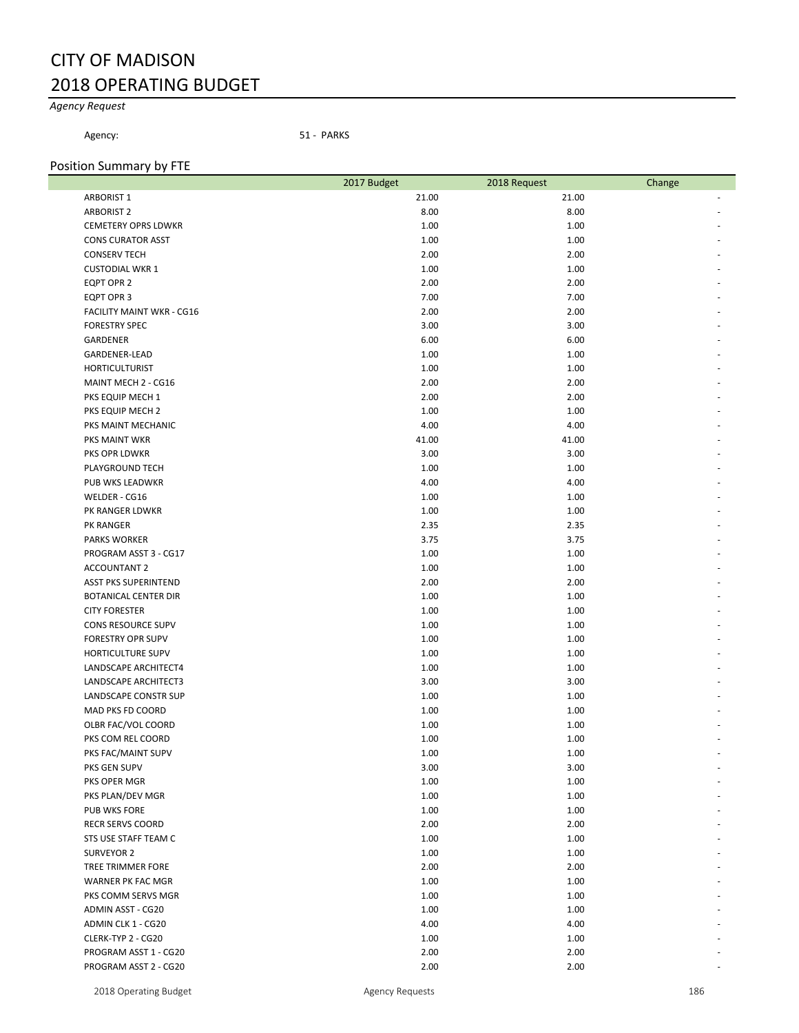## CITY OF MADISON 2018 OPERATING BUDGET

## *Agency Request*

Agency: 51 - PARKS

## Position Summary by FTE

|                             | 2017 Budget | 2018 Request | Change |
|-----------------------------|-------------|--------------|--------|
| <b>ARBORIST 1</b>           | 21.00       | 21.00        |        |
| <b>ARBORIST 2</b>           | 8.00        | 8.00         |        |
| <b>CEMETERY OPRS LDWKR</b>  | 1.00        | 1.00         |        |
| <b>CONS CURATOR ASST</b>    | 1.00        | 1.00         |        |
| <b>CONSERV TECH</b>         | 2.00        | 2.00         |        |
| <b>CUSTODIAL WKR 1</b>      | 1.00        | 1.00         |        |
| EQPT OPR 2                  | 2.00        | 2.00         |        |
| EQPT OPR 3                  | 7.00        | 7.00         |        |
| FACILITY MAINT WKR - CG16   | 2.00        | 2.00         |        |
| <b>FORESTRY SPEC</b>        | 3.00        | 3.00         |        |
| GARDENER                    | 6.00        | 6.00         |        |
| <b>GARDENER-LEAD</b>        | 1.00        | 1.00         |        |
| <b>HORTICULTURIST</b>       | 1.00        | 1.00         |        |
| MAINT MECH 2 - CG16         | 2.00        | 2.00         |        |
| PKS EQUIP MECH 1            | 2.00        | 2.00         |        |
| PKS EQUIP MECH 2            | 1.00        | 1.00         |        |
| PKS MAINT MECHANIC          | 4.00        | 4.00         |        |
| PKS MAINT WKR               | 41.00       | 41.00        |        |
| PKS OPR LDWKR               | 3.00        | 3.00         |        |
| PLAYGROUND TECH             | 1.00        | 1.00         |        |
| PUB WKS LEADWKR             | 4.00        | 4.00         |        |
| WELDER - CG16               | 1.00        | 1.00         |        |
| PK RANGER LDWKR             | 1.00        | 1.00         |        |
| PK RANGER                   | 2.35        | 2.35         |        |
| <b>PARKS WORKER</b>         | 3.75        | 3.75         |        |
| PROGRAM ASST 3 - CG17       | 1.00        | 1.00         |        |
| <b>ACCOUNTANT 2</b>         | 1.00        | 1.00         |        |
| <b>ASST PKS SUPERINTEND</b> | 2.00        | 2.00         |        |
| <b>BOTANICAL CENTER DIR</b> | 1.00        | 1.00         |        |
| <b>CITY FORESTER</b>        | 1.00        | 1.00         |        |
| CONS RESOURCE SUPV          | 1.00        | 1.00         |        |
| <b>FORESTRY OPR SUPV</b>    | 1.00        | 1.00         |        |
| HORTICULTURE SUPV           | 1.00        | 1.00         |        |
| LANDSCAPE ARCHITECT4        | 1.00        | 1.00         |        |
| LANDSCAPE ARCHITECT3        | 3.00        | 3.00         |        |
| LANDSCAPE CONSTR SUP        | 1.00        | 1.00         |        |
| <b>MAD PKS FD COORD</b>     | 1.00        | 1.00         |        |
| OLBR FAC/VOL COORD          | 1.00        | 1.00         |        |
| PKS COM REL COORD           | 1.00        | 1.00         |        |
| PKS FAC/MAINT SUPV          | 1.00        | 1.00         |        |
| PKS GEN SUPV                | 3.00        | 3.00         |        |
| PKS OPER MGR                | 1.00        | 1.00         |        |
| PKS PLAN/DEV MGR            | 1.00        | 1.00         |        |
| PUB WKS FORE                | 1.00        | 1.00         |        |
| <b>RECR SERVS COORD</b>     | 2.00        | 2.00         |        |
| STS USE STAFF TEAM C        | 1.00        | 1.00         |        |
| SURVEYOR 2                  | 1.00        | 1.00         |        |
| TREE TRIMMER FORE           | 2.00        | 2.00         |        |
| WARNER PK FAC MGR           | 1.00        | 1.00         |        |
| PKS COMM SERVS MGR          | 1.00        | 1.00         |        |
| ADMIN ASST - CG20           | 1.00        | 1.00         |        |
| ADMIN CLK 1 - CG20          | 4.00        | 4.00         |        |
| CLERK-TYP 2 - CG20          | 1.00        | 1.00         |        |
| PROGRAM ASST 1 - CG20       | 2.00        | 2.00         |        |
| PROGRAM ASST 2 - CG20       | 2.00        | 2.00         |        |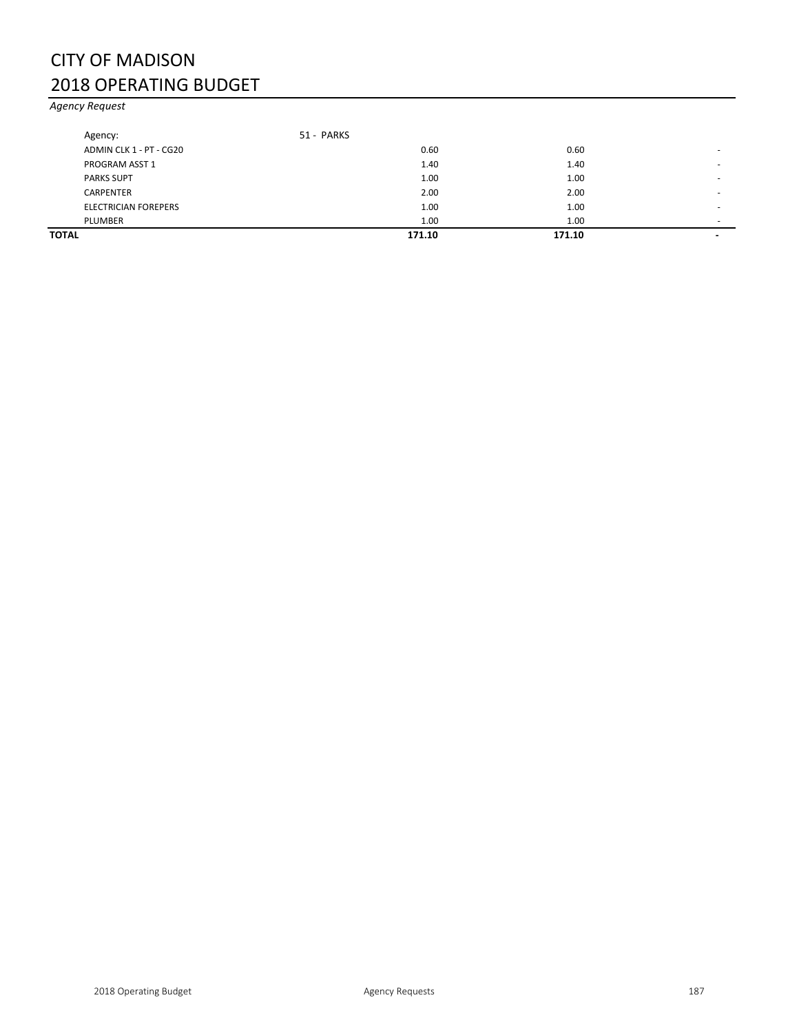## CITY OF MADISON 2018 OPERATING BUDGET

*Agency Request*

| TOTAL |                             |            | 171.10 | 171.10 | $\overline{\phantom{0}}$ |
|-------|-----------------------------|------------|--------|--------|--------------------------|
|       | PLUMBER                     |            | 1.00   | 1.00   |                          |
|       | <b>ELECTRICIAN FOREPERS</b> |            | 1.00   | 1.00   | -                        |
|       | CARPENTER                   |            | 2.00   | 2.00   | -                        |
|       | <b>PARKS SUPT</b>           |            | 1.00   | 1.00   |                          |
|       | PROGRAM ASST 1              |            | 1.40   | 1.40   |                          |
|       | ADMIN CLK 1 - PT - CG20     |            | 0.60   | 0.60   |                          |
|       | Agency:                     | 51 - PARKS |        |        |                          |
|       |                             |            |        |        |                          |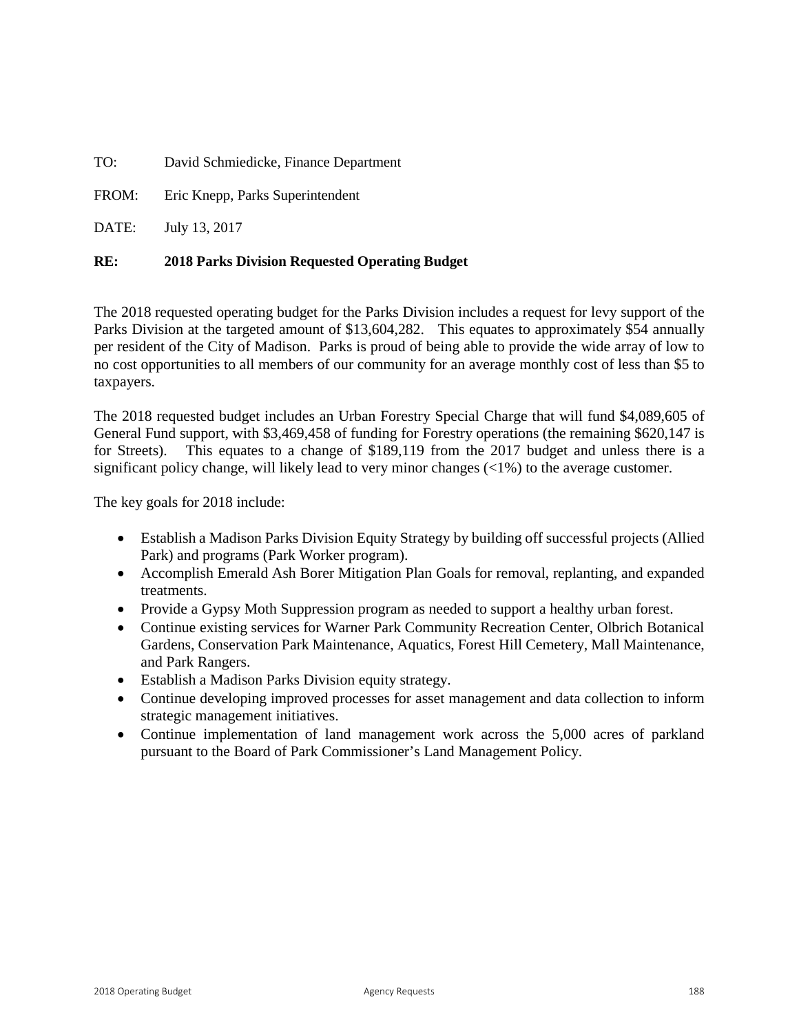TO: David Schmiedicke, Finance Department

FROM: Eric Knepp, Parks Superintendent

DATE: July 13, 2017

#### **RE: 2018 Parks Division Requested Operating Budget**

The 2018 requested operating budget for the Parks Division includes a request for levy support of the Parks Division at the targeted amount of \$13,604,282. This equates to approximately \$54 annually per resident of the City of Madison. Parks is proud of being able to provide the wide array of low to no cost opportunities to all members of our community for an average monthly cost of less than \$5 to taxpayers.

The 2018 requested budget includes an Urban Forestry Special Charge that will fund \$4,089,605 of General Fund support, with \$3,469,458 of funding for Forestry operations (the remaining \$620,147 is for Streets). This equates to a change of \$189,119 from the 2017 budget and unless there is a significant policy change, will likely lead to very minor changes  $\langle \langle 1\% \rangle$  to the average customer.

The key goals for 2018 include:

- Establish a Madison Parks Division Equity Strategy by building off successful projects (Allied Park) and programs (Park Worker program).
- Accomplish Emerald Ash Borer Mitigation Plan Goals for removal, replanting, and expanded treatments.
- Provide a Gypsy Moth Suppression program as needed to support a healthy urban forest.
- Continue existing services for Warner Park Community Recreation Center, Olbrich Botanical Gardens, Conservation Park Maintenance, Aquatics, Forest Hill Cemetery, Mall Maintenance, and Park Rangers.
- Establish a Madison Parks Division equity strategy.
- Continue developing improved processes for asset management and data collection to inform strategic management initiatives.
- Continue implementation of land management work across the 5,000 acres of parkland pursuant to the Board of Park Commissioner's Land Management Policy.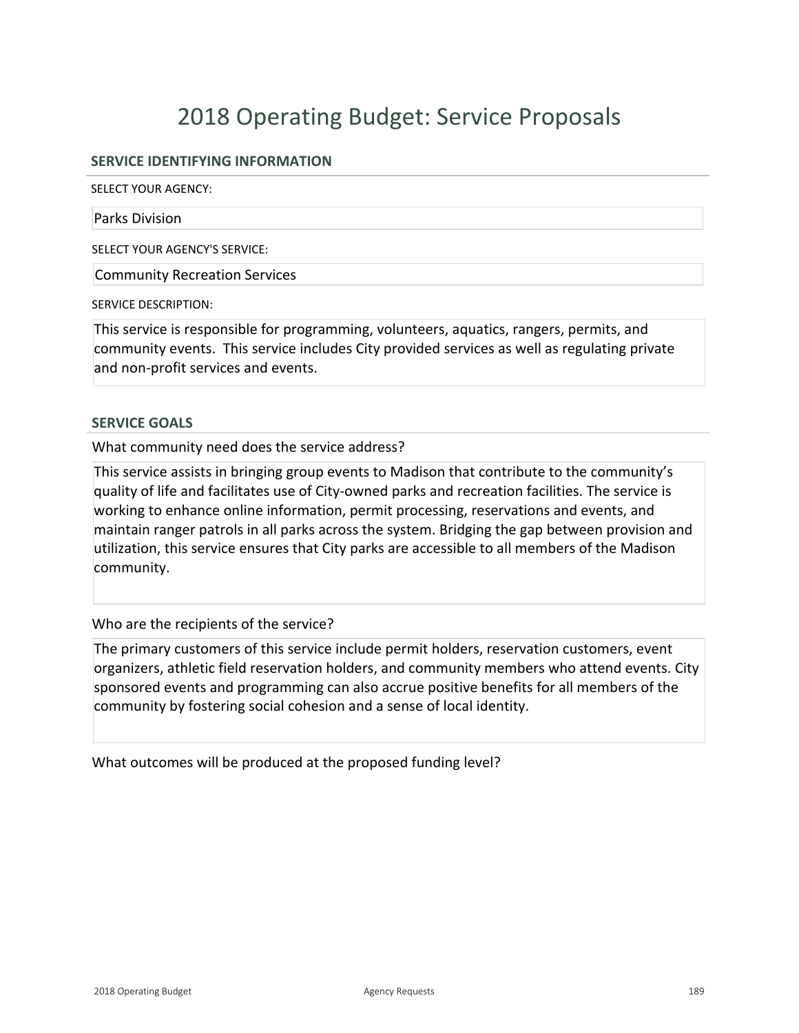#### **SERVICE IDENTIFYING INFORMATION**

SELECT YOUR AGENCY:

#### Parks Division

SELECT YOUR AGENCY'S SERVICE:

Community Recreation Services

SERVICE DESCRIPTION:

This service is responsible for programming, volunteers, aquatics, rangers, permits, and community events. This service includes City provided services as well as regulating private and non-profit services and events.

#### **SERVICE GOALS**

What community need does the service address?

This service assists in bringing group events to Madison that contribute to the community's quality of life and facilitates use of City-owned parks and recreation facilities. The service is working to enhance online information, permit processing, reservations and events, and maintain ranger patrols in all parks across the system. Bridging the gap between provision and utilization, this service ensures that City parks are accessible to all members of the Madison community.

Who are the recipients of the service?

The primary customers of this service include permit holders, reservation customers, event organizers, athletic field reservation holders, and community members who attend events. City sponsored events and programming can also accrue positive benefits for all members of the community by fostering social cohesion and a sense of local identity.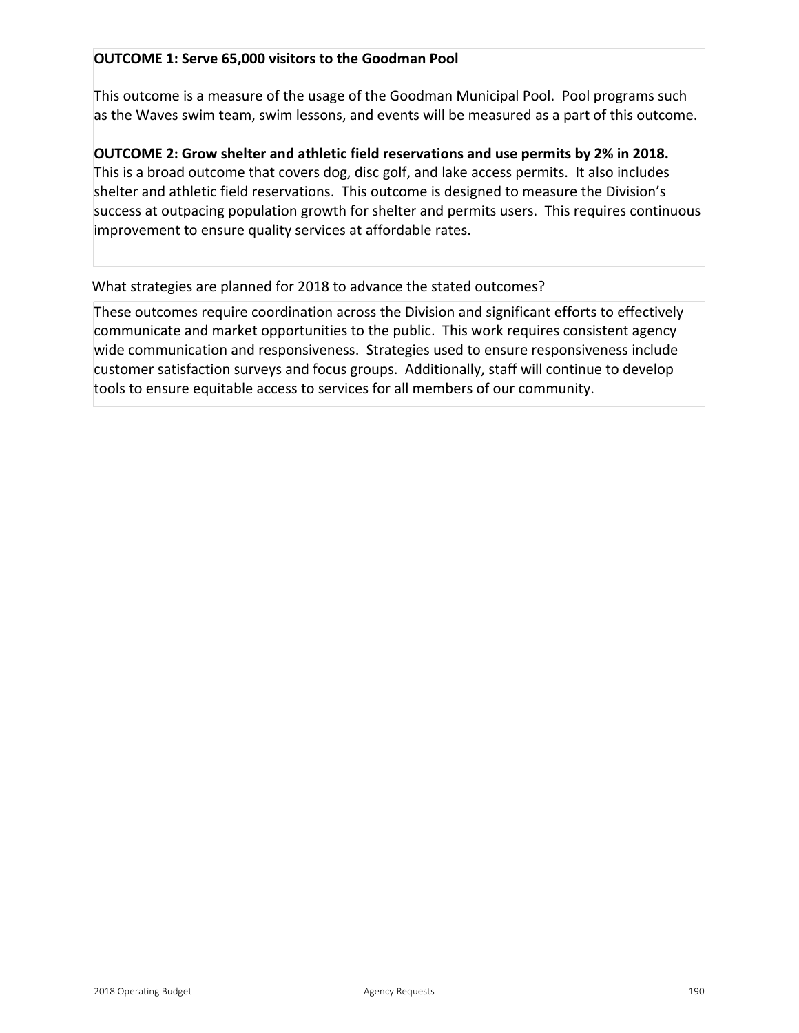## **OUTCOME 1: Serve 65,000 visitors to the Goodman Pool**

This outcome is a measure of the usage of the Goodman Municipal Pool. Pool programs such as the Waves swim team, swim lessons, and events will be measured as a part of this outcome.

**OUTCOME 2: Grow shelter and athletic field reservations and use permits by 2% in 2018.**  This is a broad outcome that covers dog, disc golf, and lake access permits. It also includes shelter and athletic field reservations. This outcome is designed to measure the Division's success at outpacing population growth for shelter and permits users. This requires continuous improvement to ensure quality services at affordable rates.

## What strategies are planned for 2018 to advance the stated outcomes?

These outcomes require coordination across the Division and significant efforts to effectively communicate and market opportunities to the public. This work requires consistent agency wide communication and responsiveness. Strategies used to ensure responsiveness include customer satisfaction surveys and focus groups. Additionally, staff will continue to develop tools to ensure equitable access to services for all members of our community.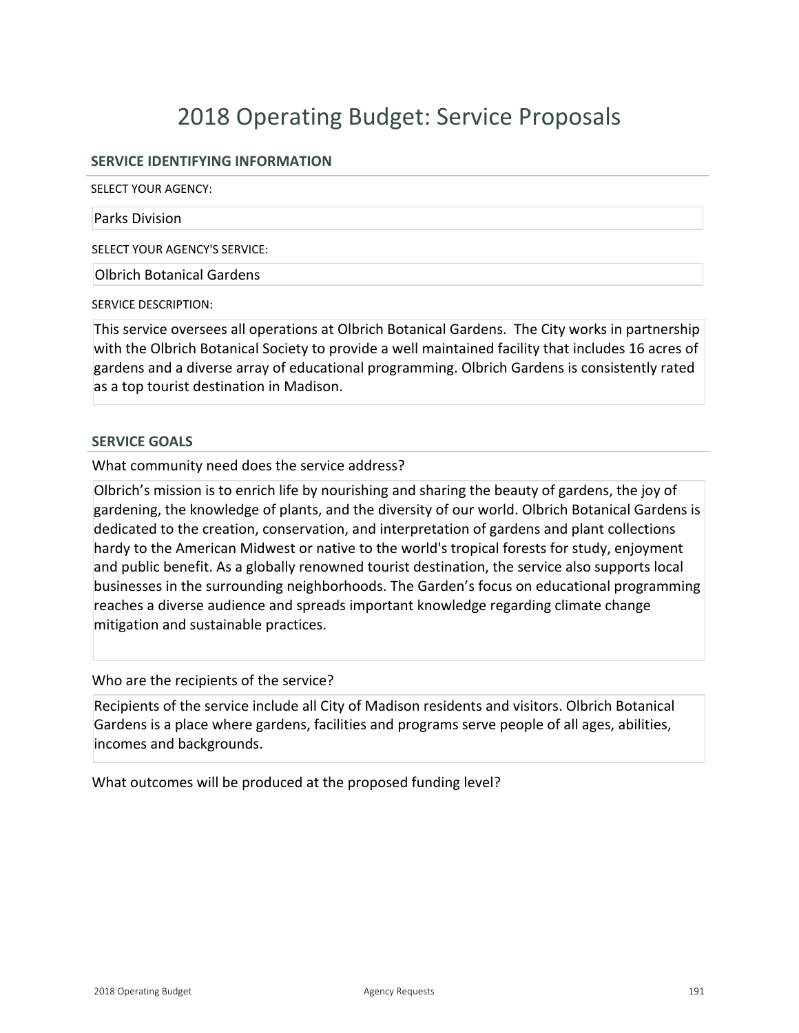## **SERVICE IDENTIFYING INFORMATION**

SELECT YOUR AGENCY:

#### Parks Division

SELECT YOUR AGENCY'S SERVICE:

Olbrich Botanical Gardens

SERVICE DESCRIPTION:

This service oversees all operations at Olbrich Botanical Gardens. The City works in partnership with the Olbrich Botanical Society to provide a well maintained facility that includes 16 acres of gardens and a diverse array of educational programming. Olbrich Gardens is consistently rated as a top tourist destination in Madison.

#### **SERVICE GOALS**

What community need does the service address?

Olbrich's mission is to enrich life by nourishing and sharing the beauty of gardens, the joy of gardening, the knowledge of plants, and the diversity of our world. Olbrich Botanical Gardens is dedicated to the creation, conservation, and interpretation of gardens and plant collections hardy to the American Midwest or native to the world's tropical forests for study, enjoyment and public benefit. As a globally renowned tourist destination, the service also supports local businesses in the surrounding neighborhoods. The Garden's focus on educational programming reaches a diverse audience and spreads important knowledge regarding climate change mitigation and sustainable practices.

Who are the recipients of the service?

Recipients of the service include all City of Madison residents and visitors. Olbrich Botanical Gardens is a place where gardens, facilities and programs serve people of all ages, abilities, incomes and backgrounds.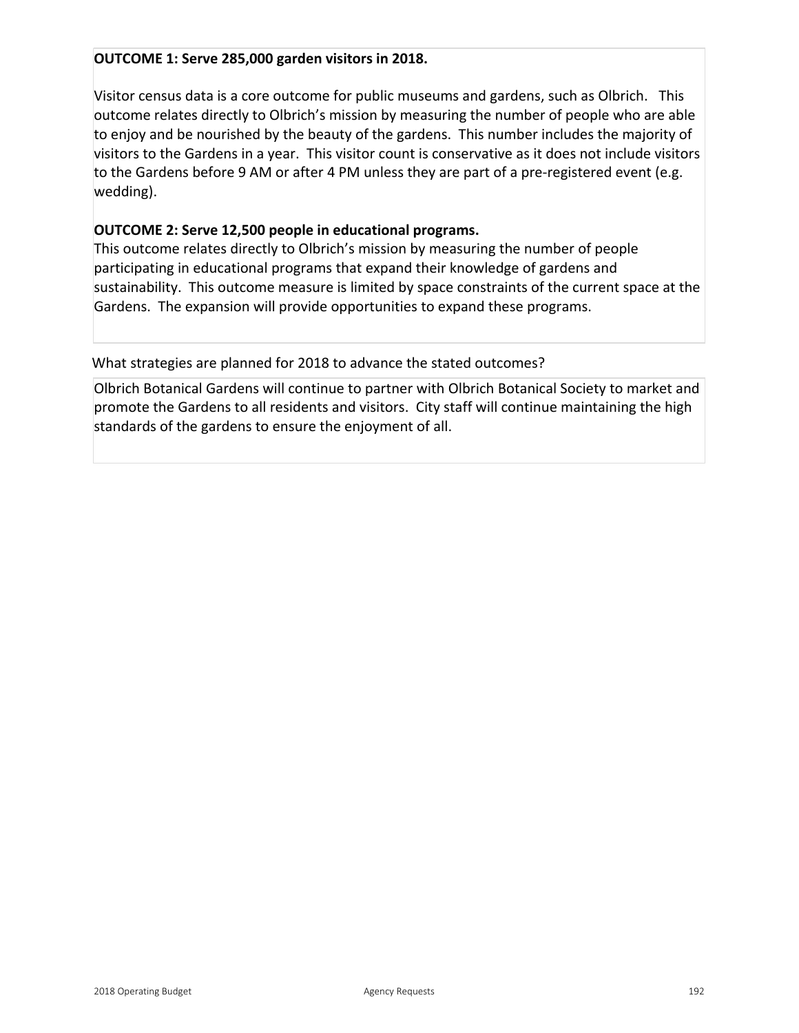## **OUTCOME 1: Serve 285,000 garden visitors in 2018.**

Visitor census data is a core outcome for public museums and gardens, such as Olbrich. This outcome relates directly to Olbrich's mission by measuring the number of people who are able to enjoy and be nourished by the beauty of the gardens. This number includes the majority of visitors to the Gardens in a year. This visitor count is conservative as it does not include visitors to the Gardens before 9 AM or after 4 PM unless they are part of a pre-registered event (e.g. wedding).

## **OUTCOME 2: Serve 12,500 people in educational programs.**

This outcome relates directly to Olbrich's mission by measuring the number of people participating in educational programs that expand their knowledge of gardens and sustainability. This outcome measure is limited by space constraints of the current space at the Gardens. The expansion will provide opportunities to expand these programs.

What strategies are planned for 2018 to advance the stated outcomes?

Olbrich Botanical Gardens will continue to partner with Olbrich Botanical Society to market and promote the Gardens to all residents and visitors. City staff will continue maintaining the high standards of the gardens to ensure the enjoyment of all.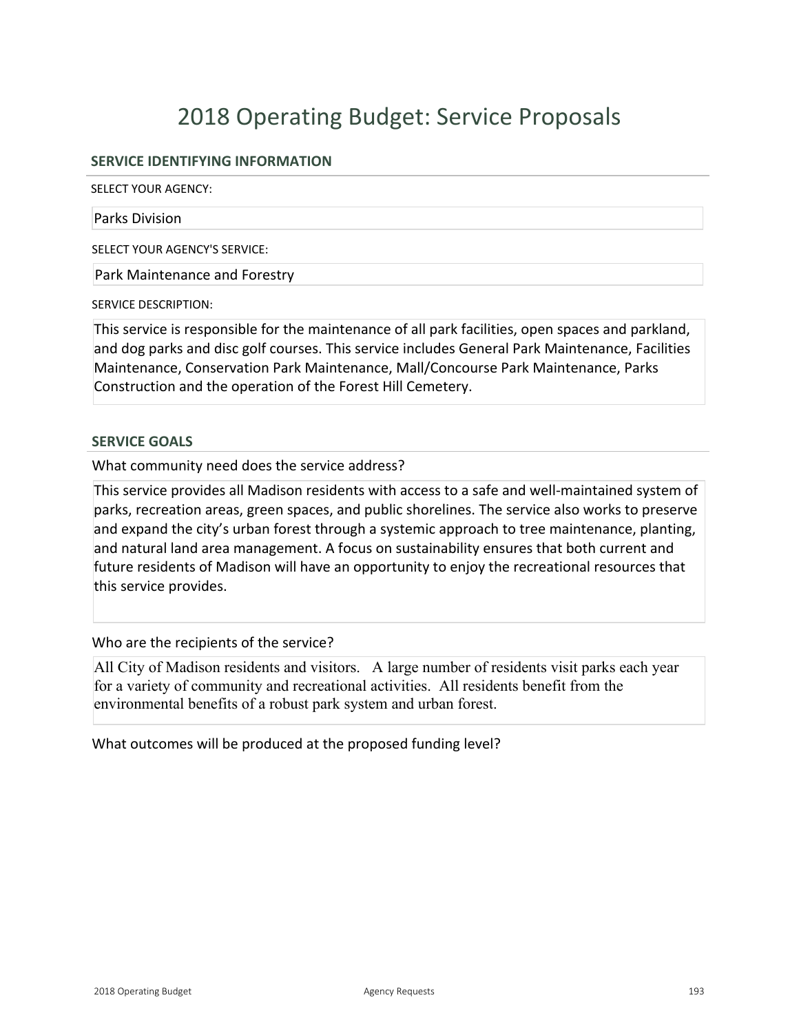## **SERVICE IDENTIFYING INFORMATION**

SELECT YOUR AGENCY:

#### Parks Division

SELECT YOUR AGENCY'S SERVICE:

Park Maintenance and Forestry

SERVICE DESCRIPTION:

This service is responsible for the maintenance of all park facilities, open spaces and parkland, and dog parks and disc golf courses. This service includes General Park Maintenance, Facilities Maintenance, Conservation Park Maintenance, Mall/Concourse Park Maintenance, Parks Construction and the operation of the Forest Hill Cemetery.

#### **SERVICE GOALS**

What community need does the service address?

This service provides all Madison residents with access to a safe and wellmaintained system of parks, recreation areas, green spaces, and public shorelines. The service also works to preserve and expand the city's urban forest through a systemic approach to tree maintenance, planting, and natural land area management. A focus on sustainability ensures that both current and future residents of Madison will have an opportunity to enjoy the recreational resources that this service provides.

Who are the recipients of the service?

All City of Madison residents and visitors. A large number of residents visit parks each year for a variety of community and recreational activities. All residents benefit from the environmental benefits of a robust park system and urban forest.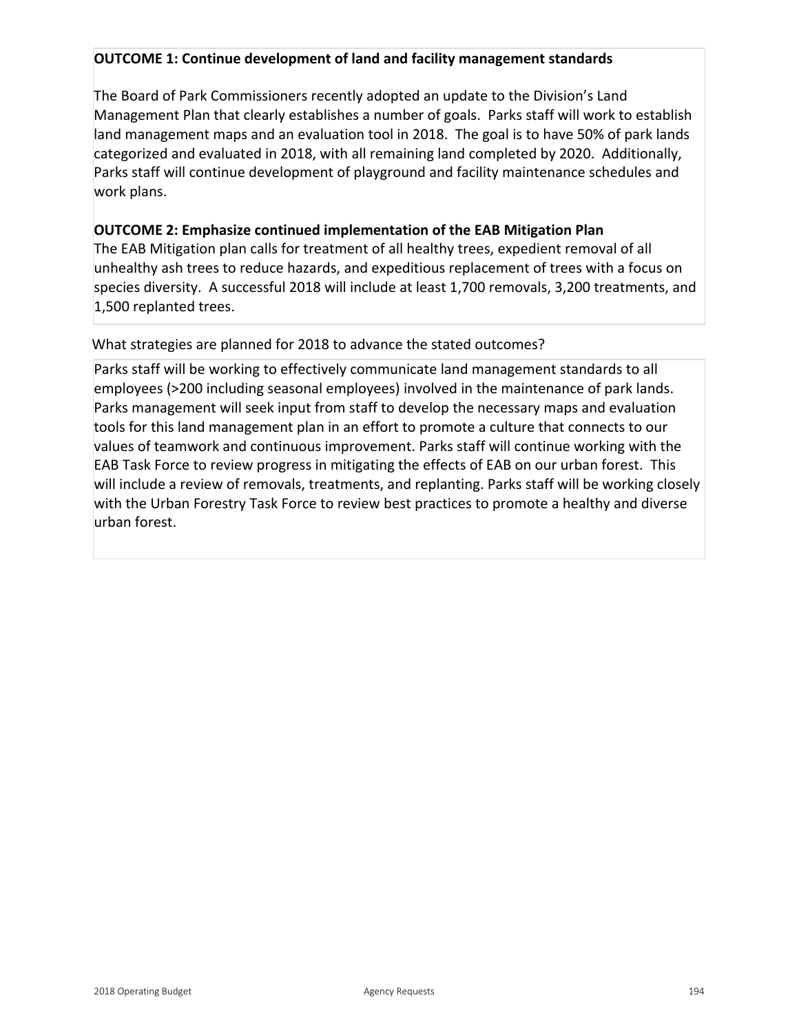## **OUTCOME 1: Continue development of land and facility management standards**

The Board of Park Commissioners recently adopted an update to the Division's Land Management Plan that clearly establishes a number of goals. Parks staff will work to establish land management maps and an evaluation tool in 2018. The goal is to have 50% of park lands categorized and evaluated in 2018, with all remaining land completed by 2020. Additionally, Parks staff will continue development of playground and facility maintenance schedules and work plans.

## **OUTCOME 2: Emphasize continued implementation of the EAB Mitigation Plan**

The EAB Mitigation plan calls for treatment of all healthy trees, expedient removal of all unhealthy ash trees to reduce hazards, and expeditious replacement of trees with a focus on species diversity. A successful 2018 will include at least 1,700 removals, 3,200 treatments, and 1,500 replanted trees.

## What strategies are planned for 2018 to advance the stated outcomes?

Parks staff will be working to effectively communicate land management standards to all employees (>200 including seasonal employees) involved in the maintenance of park lands. Parks management will seek input from staff to develop the necessary maps and evaluation tools for this land management plan in an effort to promote a culture that connects to our values of teamwork and continuous improvement. Parks staff will continue working with the EAB Task Force to review progress in mitigating the effects of EAB on our urban forest. This will include a review of removals, treatments, and replanting. Parks staff will be working closely with the Urban Forestry Task Force to review best practices to promote a healthy and diverse urban forest.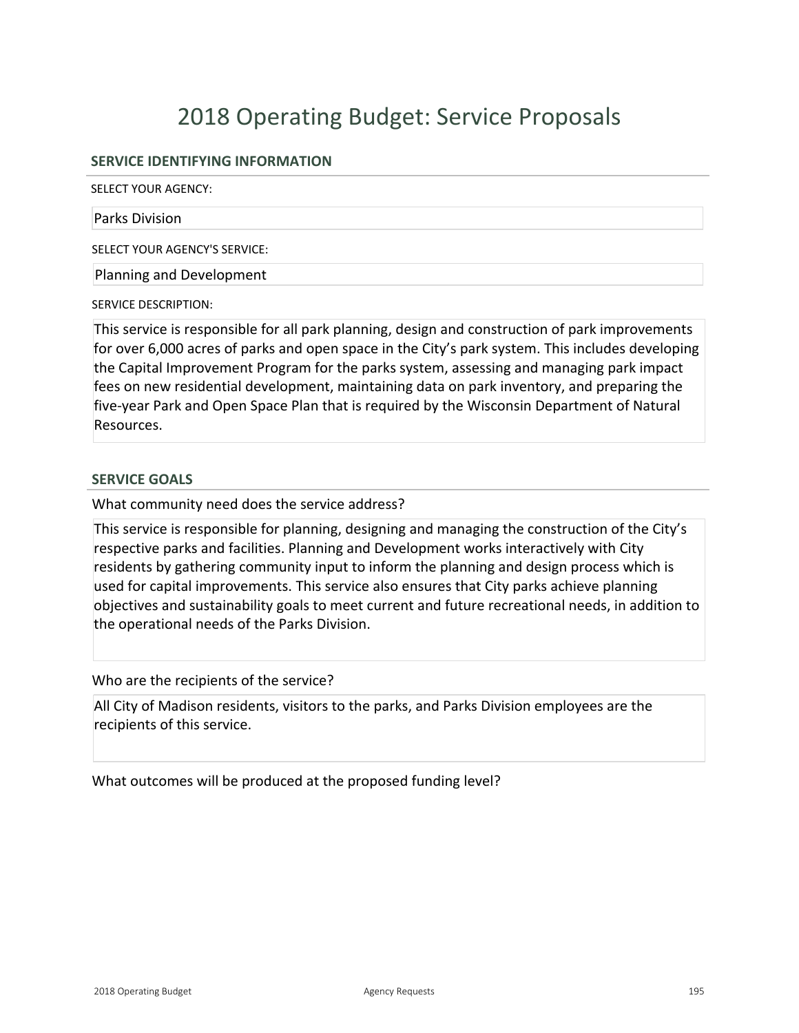## **SERVICE IDENTIFYING INFORMATION**

SELECT YOUR AGENCY:

#### Parks Division

SELECT YOUR AGENCY'S SERVICE:

Planning and Development

SERVICE DESCRIPTION:

This service is responsible for all park planning, design and construction of park improvements for over 6,000 acres of parks and open space in the City's park system. This includes developing the Capital Improvement Program for the parks system, assessing and managing park impact fees on new residential development, maintaining data on park inventory, and preparing the five-year Park and Open Space Plan that is required by the Wisconsin Department of Natural Resources.

#### **SERVICE GOALS**

What community need does the service address?

This service is responsible for planning, designing and managing the construction of the City's respective parks and facilities. Planning and Development works interactively with City residents by gathering community input to inform the planning and design process which is used for capital improvements. This service also ensures that City parks achieve planning objectives and sustainability goals to meet current and future recreational needs, in addition to the operational needs of the Parks Division.

Who are the recipients of the service?

All City of Madison residents, visitors to the parks, and Parks Division employees are the recipients of this service.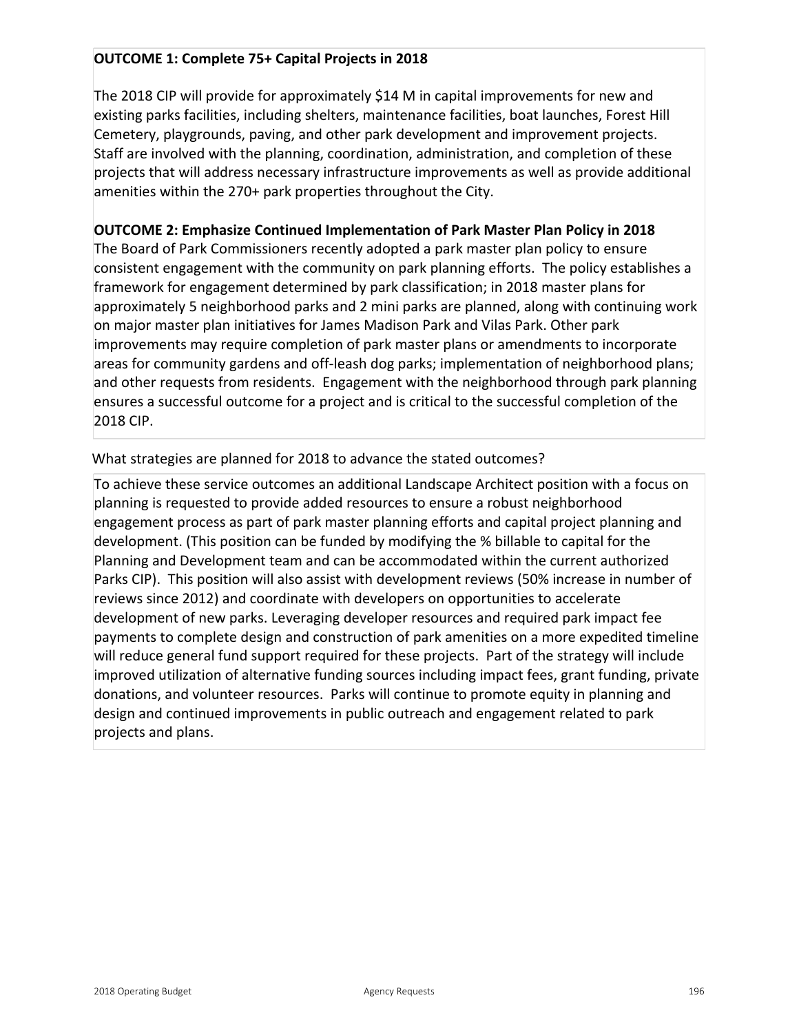## **OUTCOME 1: Complete 75+ Capital Projects in 2018**

The 2018 CIP will provide for approximately \$14 M in capital improvements for new and existing parks facilities, including shelters, maintenance facilities, boat launches, Forest Hill Cemetery, playgrounds, paving, and other park development and improvement projects. Staff are involved with the planning, coordination, administration, and completion of these projects that will address necessary infrastructure improvements as well as provide additional amenities within the 270+ park properties throughout the City.

## **OUTCOME 2: Emphasize Continued Implementation of Park Master Plan Policy in 2018**

The Board of Park Commissioners recently adopted a park master plan policy to ensure consistent engagement with the community on park planning efforts. The policy establishes a framework for engagement determined by park classification; in 2018 master plans for approximately 5 neighborhood parks and 2 mini parks are planned, along with continuing work on major master plan initiatives for James Madison Park and Vilas Park. Other park improvements may require completion of park master plans or amendments to incorporate areas for community gardens and off-leash dog parks; implementation of neighborhood plans; and other requests from residents. Engagement with the neighborhood through park planning ensures a successful outcome for a project and is critical to the successful completion of the 2018 CIP.

## What strategies are planned for 2018 to advance the stated outcomes?

To achieve these service outcomes an additional Landscape Architect position with a focus on planning is requested to provide added resources to ensure a robust neighborhood engagement process as part of park master planning efforts and capital project planning and development. (This position can be funded by modifying the % billable to capital for the Planning and Development team and can be accommodated within the current authorized Parks CIP). This position will also assist with development reviews (50% increase in number of reviews since 2012) and coordinate with developers on opportunities to accelerate development of new parks. Leveraging developer resources and required park impact fee payments to complete design and construction of park amenities on a more expedited timeline will reduce general fund support required for these projects. Part of the strategy will include improved utilization of alternative funding sources including impact fees, grant funding, private donations, and volunteer resources. Parks will continue to promote equity in planning and design and continued improvements in public outreach and engagement related to park projects and plans.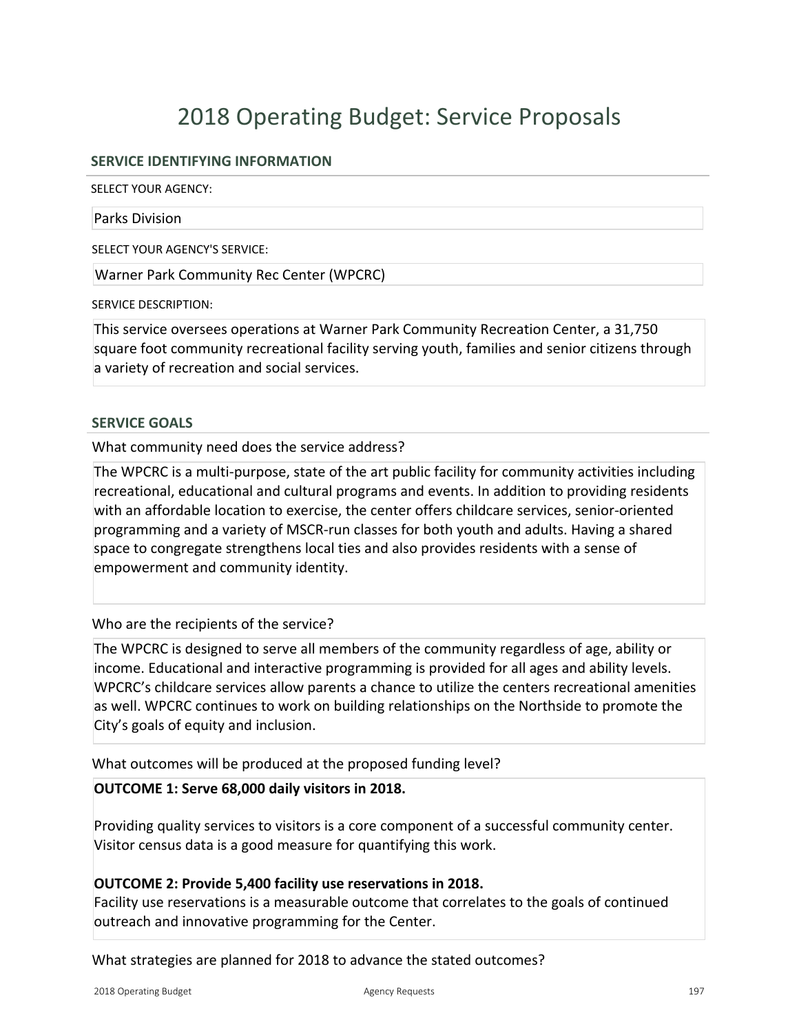## **SERVICE IDENTIFYING INFORMATION**

SELECT YOUR AGENCY:

#### Parks Division

SELECT YOUR AGENCY'S SERVICE:

Warner Park Community Rec Center (WPCRC)

SERVICE DESCRIPTION:

This service oversees operations at Warner Park Community Recreation Center, a 31,750 square foot community recreational facility serving youth, families and senior citizens through a variety of recreation and social services.

#### **SERVICE GOALS**

What community need does the service address?

The WPCRC is a multi-purpose, state of the art public facility for community activities including recreational, educational and cultural programs and events. In addition to providing residents with an affordable location to exercise, the center offers childcare services, senior-oriented programming and a variety of MSCR-run classes for both youth and adults. Having a shared space to congregate strengthens local ties and also provides residents with a sense of empowerment and community identity.

#### Who are the recipients of the service?

The WPCRC is designed to serve all members of the community regardless of age, ability or income. Educational and interactive programming is provided for all ages and ability levels. WPCRC's childcare services allow parents a chance to utilize the centers recreational amenities as well. WPCRC continues to work on building relationships on the Northside to promote the City's goals of equity and inclusion.

#### What outcomes will be produced at the proposed funding level?

#### **OUTCOME 1: Serve 68,000 daily visitors in 2018.**

Providing quality services to visitors is a core component of a successful community center. Visitor census data is a good measure for quantifying this work.

#### **OUTCOME 2: Provide 5,400 facility use reservations in 2018.**

Facility use reservations is a measurable outcome that correlates to the goals of continued outreach and innovative programming for the Center.

What strategies are planned for 2018 to advance the stated outcomes?